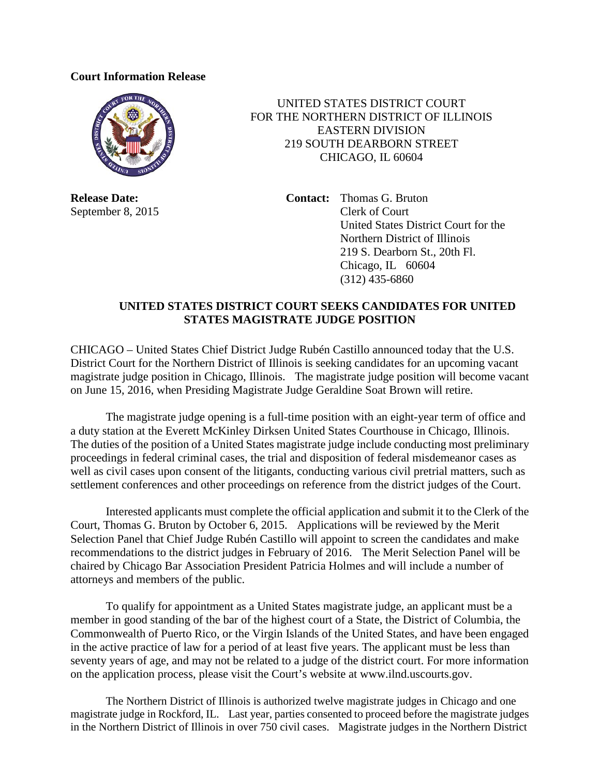## **Court Information Release**



**Release Date:** September 8, 2015

 UNITED STATES DISTRICT COURT FOR THE NORTHERN DISTRICT OF ILLINOIS EASTERN DIVISION 219 SOUTH DEARBORN STREET CHICAGO, IL 60604

> **Contact:** Thomas G. Bruton Clerk of Court United States District Court for the Northern District of Illinois 219 S. Dearborn St., 20th Fl. Chicago, IL 60604 (312) 435-6860

## **UNITED STATES DISTRICT COURT SEEKS CANDIDATES FOR UNITED STATES MAGISTRATE JUDGE POSITION**

CHICAGO – United States Chief District Judge Rubén Castillo announced today that the U.S. District Court for the Northern District of Illinois is seeking candidates for an upcoming vacant magistrate judge position in Chicago, Illinois. The magistrate judge position will become vacant on June 15, 2016, when Presiding Magistrate Judge Geraldine Soat Brown will retire.

The magistrate judge opening is a full-time position with an eight-year term of office and a duty station at the Everett McKinley Dirksen United States Courthouse in Chicago, Illinois. The duties of the position of a United States magistrate judge include conducting most preliminary proceedings in federal criminal cases, the trial and disposition of federal misdemeanor cases as well as civil cases upon consent of the litigants, conducting various civil pretrial matters, such as settlement conferences and other proceedings on reference from the district judges of the Court.

Interested applicants must complete the official application and submit it to the Clerk of the Court, Thomas G. Bruton by October 6, 2015. Applications will be reviewed by the Merit Selection Panel that Chief Judge Rubén Castillo will appoint to screen the candidates and make recommendations to the district judges in February of 2016. The Merit Selection Panel will be chaired by Chicago Bar Association President Patricia Holmes and will include a number of attorneys and members of the public.

To qualify for appointment as a United States magistrate judge, an applicant must be a member in good standing of the bar of the highest court of a State, the District of Columbia, the Commonwealth of Puerto Rico, or the Virgin Islands of the United States, and have been engaged in the active practice of law for a period of at least five years. The applicant must be less than seventy years of age, and may not be related to a judge of the district court. For more information on the application process, please visit the Court's website at www.ilnd.uscourts.gov.

The Northern District of Illinois is authorized twelve magistrate judges in Chicago and one magistrate judge in Rockford, IL. Last year, parties consented to proceed before the magistrate judges in the Northern District of Illinois in over 750 civil cases. Magistrate judges in the Northern District